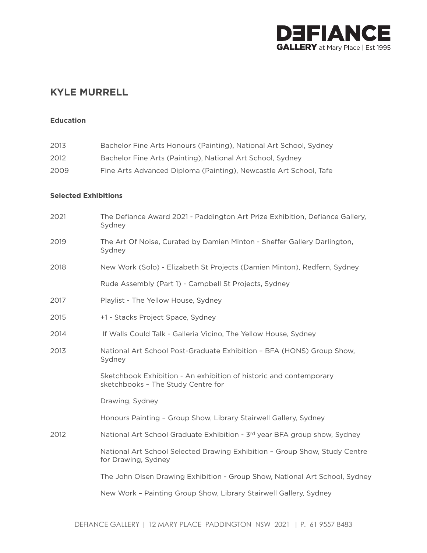

# **KYLE MURRELL**

#### **Education**

| 2013<br>Bachelor Fine Arts Honours (Painting), National Art School, Sydney |  |
|----------------------------------------------------------------------------|--|
|----------------------------------------------------------------------------|--|

- 2012 Bachelor Fine Arts (Painting), National Art School, Sydney
- 2009 Fine Arts Advanced Diploma (Painting), Newcastle Art School, Tafe

### **Selected Exhibitions**

| 2021 | The Defiance Award 2021 - Paddington Art Prize Exhibition, Defiance Gallery,<br>Sydney                   |
|------|----------------------------------------------------------------------------------------------------------|
| 2019 | The Art Of Noise, Curated by Damien Minton - Sheffer Gallery Darlington,<br>Sydney                       |
| 2018 | New Work (Solo) - Elizabeth St Projects (Damien Minton), Redfern, Sydney                                 |
|      | Rude Assembly (Part 1) - Campbell St Projects, Sydney                                                    |
| 2017 | Playlist - The Yellow House, Sydney                                                                      |
| 2015 | +1 - Stacks Project Space, Sydney                                                                        |
| 2014 | If Walls Could Talk - Galleria Vicino, The Yellow House, Sydney                                          |
| 2013 | National Art School Post-Graduate Exhibition - BFA (HONS) Group Show,<br>Sydney                          |
|      | Sketchbook Exhibition - An exhibition of historic and contemporary<br>sketchbooks - The Study Centre for |
|      | Drawing, Sydney                                                                                          |
|      | Honours Painting - Group Show, Library Stairwell Gallery, Sydney                                         |
| 2012 | National Art School Graduate Exhibition - 3rd year BFA group show, Sydney                                |
|      | National Art School Selected Drawing Exhibition - Group Show, Study Centre<br>for Drawing, Sydney        |
|      | The John Olsen Drawing Exhibition - Group Show, National Art School, Sydney                              |
|      | New Work - Painting Group Show, Library Stairwell Gallery, Sydney                                        |